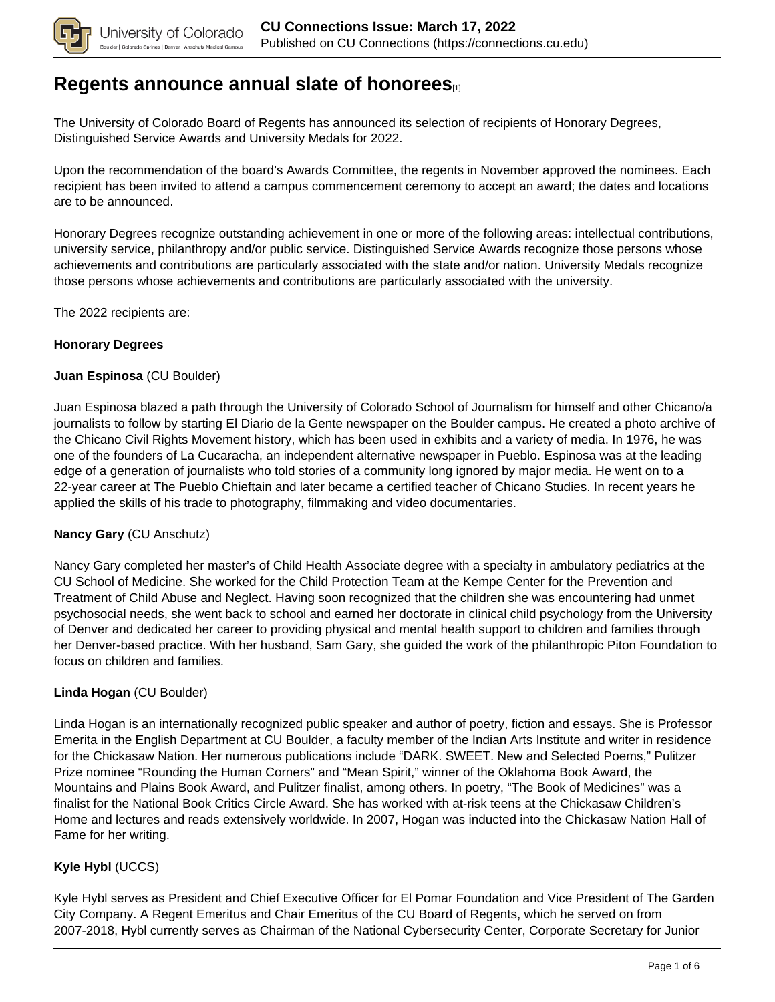

### **[Regents announce annual slate of honorees](https://connections.cu.edu/spotlights/regents-announce-annual-slate-honorees)**[1]

The University of Colorado Board of Regents has announced its selection of recipients of Honorary Degrees, Distinguished Service Awards and University Medals for 2022.

Upon the recommendation of the board's Awards Committee, the regents in November approved the nominees. Each recipient has been invited to attend a campus commencement ceremony to accept an award; the dates and locations are to be announced.

Honorary Degrees recognize outstanding achievement in one or more of the following areas: intellectual contributions, university service, philanthropy and/or public service. Distinguished Service Awards recognize those persons whose achievements and contributions are particularly associated with the state and/or nation. University Medals recognize those persons whose achievements and contributions are particularly associated with the university.

The 2022 recipients are:

#### **Honorary Degrees**

#### **Juan Espinosa** (CU Boulder)

Juan Espinosa blazed a path through the University of Colorado School of Journalism for himself and other Chicano/a journalists to follow by starting El Diario de la Gente newspaper on the Boulder campus. He created a photo archive of the Chicano Civil Rights Movement history, which has been used in exhibits and a variety of media. In 1976, he was one of the founders of La Cucaracha, an independent alternative newspaper in Pueblo. Espinosa was at the leading edge of a generation of journalists who told stories of a community long ignored by major media. He went on to a 22-year career at The Pueblo Chieftain and later became a certified teacher of Chicano Studies. In recent years he applied the skills of his trade to photography, filmmaking and video documentaries.

#### **Nancy Gary** (CU Anschutz)

Nancy Gary completed her master's of Child Health Associate degree with a specialty in ambulatory pediatrics at the CU School of Medicine. She worked for the Child Protection Team at the Kempe Center for the Prevention and Treatment of Child Abuse and Neglect. Having soon recognized that the children she was encountering had unmet psychosocial needs, she went back to school and earned her doctorate in clinical child psychology from the University of Denver and dedicated her career to providing physical and mental health support to children and families through her Denver-based practice. With her husband, Sam Gary, she guided the work of the philanthropic Piton Foundation to focus on children and families.

#### **Linda Hogan** (CU Boulder)

Linda Hogan is an internationally recognized public speaker and author of poetry, fiction and essays. She is Professor Emerita in the English Department at CU Boulder, a faculty member of the Indian Arts Institute and writer in residence for the Chickasaw Nation. Her numerous publications include "DARK. SWEET. New and Selected Poems," Pulitzer Prize nominee "Rounding the Human Corners" and "Mean Spirit," winner of the Oklahoma Book Award, the Mountains and Plains Book Award, and Pulitzer finalist, among others. In poetry, "The Book of Medicines" was a finalist for the National Book Critics Circle Award. She has worked with at-risk teens at the Chickasaw Children's Home and lectures and reads extensively worldwide. In 2007, Hogan was inducted into the Chickasaw Nation Hall of Fame for her writing.

#### **Kyle Hybl** (UCCS)

Kyle Hybl serves as President and Chief Executive Officer for El Pomar Foundation and Vice President of The Garden City Company. A Regent Emeritus and Chair Emeritus of the CU Board of Regents, which he served on from 2007-2018, Hybl currently serves as Chairman of the National Cybersecurity Center, Corporate Secretary for Junior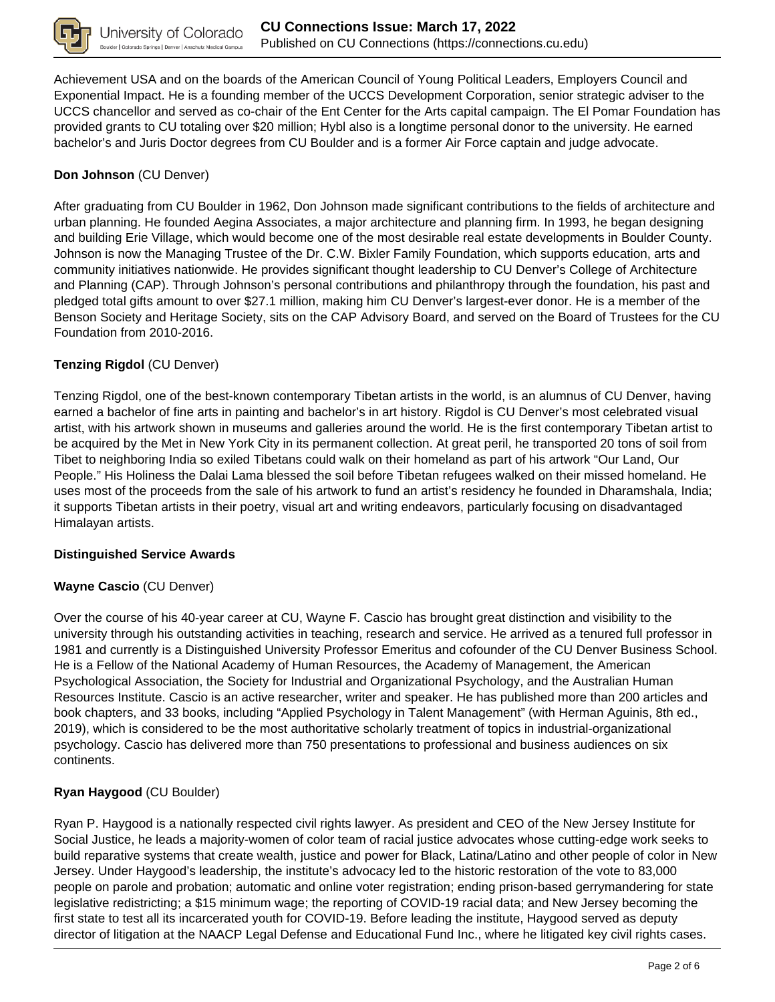

Achievement USA and on the boards of the American Council of Young Political Leaders, Employers Council and Exponential Impact. He is a founding member of the UCCS Development Corporation, senior strategic adviser to the UCCS chancellor and served as co-chair of the Ent Center for the Arts capital campaign. The El Pomar Foundation has provided grants to CU totaling over \$20 million; Hybl also is a longtime personal donor to the university. He earned bachelor's and Juris Doctor degrees from CU Boulder and is a former Air Force captain and judge advocate.

### **Don Johnson** (CU Denver)

After graduating from CU Boulder in 1962, Don Johnson made significant contributions to the fields of architecture and urban planning. He founded Aegina Associates, a major architecture and planning firm. In 1993, he began designing and building Erie Village, which would become one of the most desirable real estate developments in Boulder County. Johnson is now the Managing Trustee of the Dr. C.W. Bixler Family Foundation, which supports education, arts and community initiatives nationwide. He provides significant thought leadership to CU Denver's College of Architecture and Planning (CAP). Through Johnson's personal contributions and philanthropy through the foundation, his past and pledged total gifts amount to over \$27.1 million, making him CU Denver's largest-ever donor. He is a member of the Benson Society and Heritage Society, sits on the CAP Advisory Board, and served on the Board of Trustees for the CU Foundation from 2010-2016.

#### **Tenzing Rigdol** (CU Denver)

Tenzing Rigdol, one of the best-known contemporary Tibetan artists in the world, is an alumnus of CU Denver, having earned a bachelor of fine arts in painting and bachelor's in art history. Rigdol is CU Denver's most celebrated visual artist, with his artwork shown in museums and galleries around the world. He is the first contemporary Tibetan artist to be acquired by the Met in New York City in its permanent collection. At great peril, he transported 20 tons of soil from Tibet to neighboring India so exiled Tibetans could walk on their homeland as part of his artwork "Our Land, Our People." His Holiness the Dalai Lama blessed the soil before Tibetan refugees walked on their missed homeland. He uses most of the proceeds from the sale of his artwork to fund an artist's residency he founded in Dharamshala, India; it supports Tibetan artists in their poetry, visual art and writing endeavors, particularly focusing on disadvantaged Himalayan artists.

#### **Distinguished Service Awards**

#### **Wayne Cascio** (CU Denver)

Over the course of his 40-year career at CU, Wayne F. Cascio has brought great distinction and visibility to the university through his outstanding activities in teaching, research and service. He arrived as a tenured full professor in 1981 and currently is a Distinguished University Professor Emeritus and cofounder of the CU Denver Business School. He is a Fellow of the National Academy of Human Resources, the Academy of Management, the American Psychological Association, the Society for Industrial and Organizational Psychology, and the Australian Human Resources Institute. Cascio is an active researcher, writer and speaker. He has published more than 200 articles and book chapters, and 33 books, including "Applied Psychology in Talent Management" (with Herman Aguinis, 8th ed., 2019), which is considered to be the most authoritative scholarly treatment of topics in industrial-organizational psychology. Cascio has delivered more than 750 presentations to professional and business audiences on six continents.

#### **Ryan Haygood** (CU Boulder)

Ryan P. Haygood is a nationally respected civil rights lawyer. As president and CEO of the New Jersey Institute for Social Justice, he leads a majority-women of color team of racial justice advocates whose cutting-edge work seeks to build reparative systems that create wealth, justice and power for Black, Latina/Latino and other people of color in New Jersey. Under Haygood's leadership, the institute's advocacy led to the historic restoration of the vote to 83,000 people on parole and probation; automatic and online voter registration; ending prison-based gerrymandering for state legislative redistricting; a \$15 minimum wage; the reporting of COVID-19 racial data; and New Jersey becoming the first state to test all its incarcerated youth for COVID-19. Before leading the institute, Haygood served as deputy director of litigation at the NAACP Legal Defense and Educational Fund Inc., where he litigated key civil rights cases.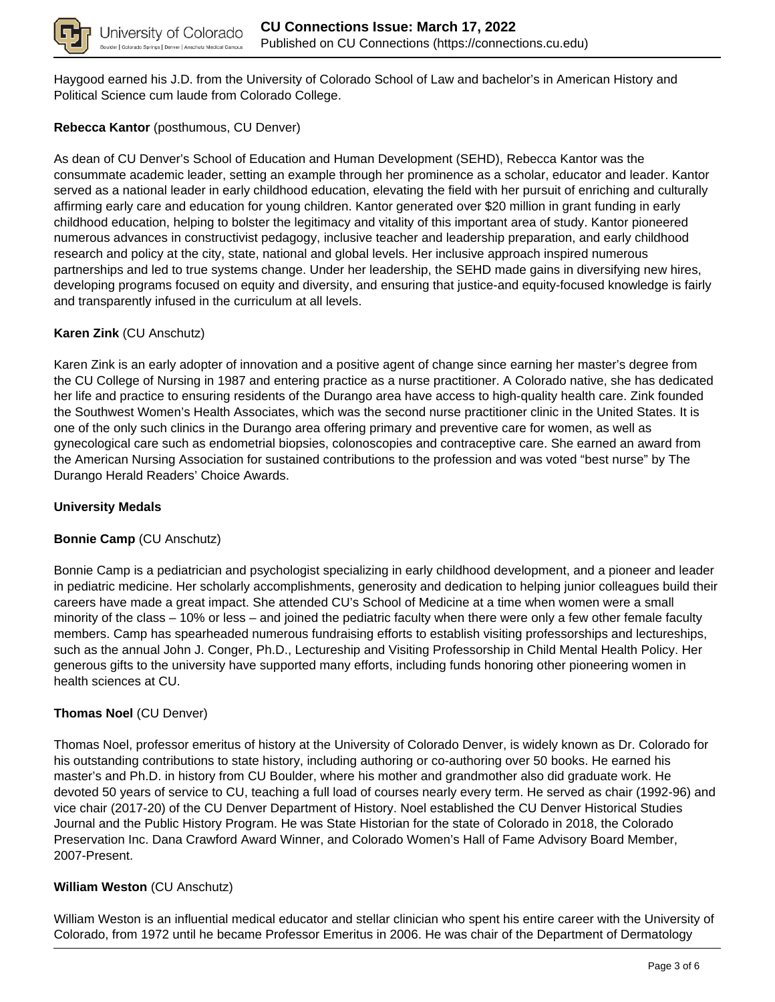

Haygood earned his J.D. from the University of Colorado School of Law and bachelor's in American History and Political Science cum laude from Colorado College.

#### **Rebecca Kantor** (posthumous, CU Denver)

As dean of CU Denver's School of Education and Human Development (SEHD), Rebecca Kantor was the consummate academic leader, setting an example through her prominence as a scholar, educator and leader. Kantor served as a national leader in early childhood education, elevating the field with her pursuit of enriching and culturally affirming early care and education for young children. Kantor generated over \$20 million in grant funding in early childhood education, helping to bolster the legitimacy and vitality of this important area of study. Kantor pioneered numerous advances in constructivist pedagogy, inclusive teacher and leadership preparation, and early childhood research and policy at the city, state, national and global levels. Her inclusive approach inspired numerous partnerships and led to true systems change. Under her leadership, the SEHD made gains in diversifying new hires, developing programs focused on equity and diversity, and ensuring that justice-and equity-focused knowledge is fairly and transparently infused in the curriculum at all levels.

#### **Karen Zink** (CU Anschutz)

Karen Zink is an early adopter of innovation and a positive agent of change since earning her master's degree from the CU College of Nursing in 1987 and entering practice as a nurse practitioner. A Colorado native, she has dedicated her life and practice to ensuring residents of the Durango area have access to high-quality health care. Zink founded the Southwest Women's Health Associates, which was the second nurse practitioner clinic in the United States. It is one of the only such clinics in the Durango area offering primary and preventive care for women, as well as gynecological care such as endometrial biopsies, colonoscopies and contraceptive care. She earned an award from the American Nursing Association for sustained contributions to the profession and was voted "best nurse" by The Durango Herald Readers' Choice Awards.

#### **University Medals**

#### **Bonnie Camp** (CU Anschutz)

Bonnie Camp is a pediatrician and psychologist specializing in early childhood development, and a pioneer and leader in pediatric medicine. Her scholarly accomplishments, generosity and dedication to helping junior colleagues build their careers have made a great impact. She attended CU's School of Medicine at a time when women were a small minority of the class – 10% or less – and joined the pediatric faculty when there were only a few other female faculty members. Camp has spearheaded numerous fundraising efforts to establish visiting professorships and lectureships, such as the annual John J. Conger, Ph.D., Lectureship and Visiting Professorship in Child Mental Health Policy. Her generous gifts to the university have supported many efforts, including funds honoring other pioneering women in health sciences at CU.

#### **Thomas Noel** (CU Denver)

Thomas Noel, professor emeritus of history at the University of Colorado Denver, is widely known as Dr. Colorado for his outstanding contributions to state history, including authoring or co-authoring over 50 books. He earned his master's and Ph.D. in history from CU Boulder, where his mother and grandmother also did graduate work. He devoted 50 years of service to CU, teaching a full load of courses nearly every term. He served as chair (1992-96) and vice chair (2017-20) of the CU Denver Department of History. Noel established the CU Denver Historical Studies Journal and the Public History Program. He was State Historian for the state of Colorado in 2018, the Colorado Preservation Inc. Dana Crawford Award Winner, and Colorado Women's Hall of Fame Advisory Board Member, 2007-Present.

#### **William Weston** (CU Anschutz)

William Weston is an influential medical educator and stellar clinician who spent his entire career with the University of Colorado, from 1972 until he became Professor Emeritus in 2006. He was chair of the Department of Dermatology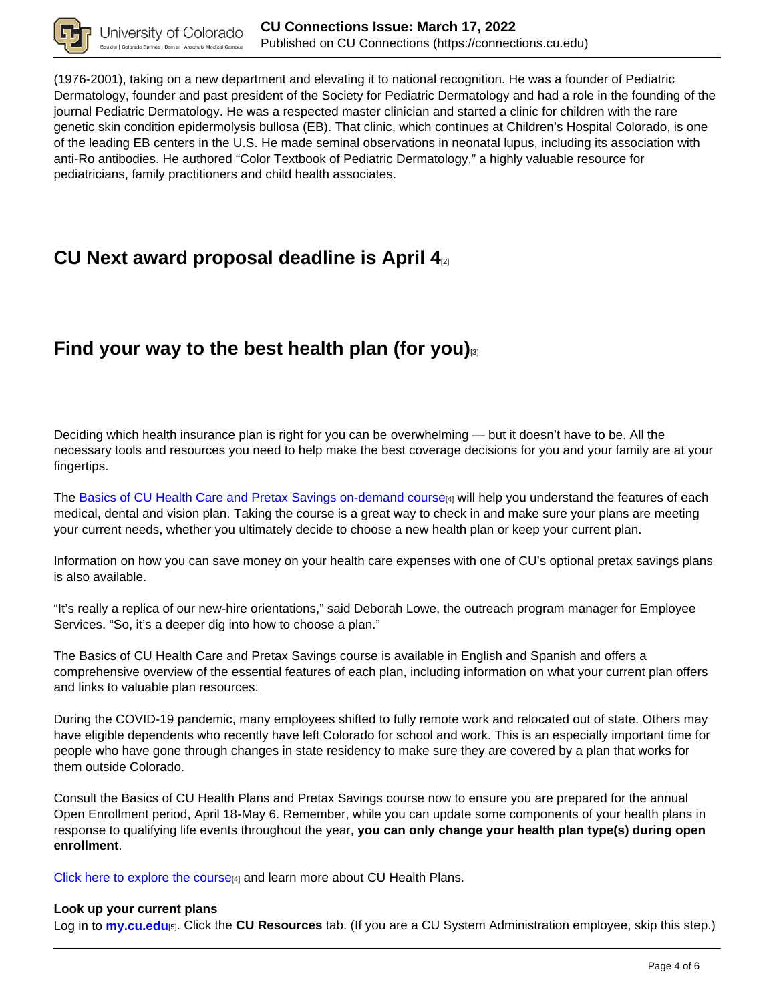

(1976-2001), taking on a new department and elevating it to national recognition. He was a founder of Pediatric Dermatology, founder and past president of the Society for Pediatric Dermatology and had a role in the founding of the journal Pediatric Dermatology. He was a respected master clinician and started a clinic for children with the rare genetic skin condition epidermolysis bullosa (EB). That clinic, which continues at Children's Hospital Colorado, is one of the leading EB centers in the U.S. He made seminal observations in neonatal lupus, including its association with anti-Ro antibodies. He authored "Color Textbook of Pediatric Dermatology," a highly valuable resource for pediatricians, family practitioners and child health associates.

### **CU Next award proposal deadline is April 4**[2]

# **Find your way to the best health plan (for you)**[3]

Deciding which health insurance plan is right for you can be overwhelming — but it doesn't have to be. All the necessary tools and resources you need to help make the best coverage decisions for you and your family are at your fingertips.

The Basics of CU Health Care and Pretax Savings on-demand course<sub>[4]</sub> will help you understand the features of each medical, dental and vision plan. Taking the course is a great way to check in and make sure your plans are meeting your current needs, whether you ultimately decide to choose a new health plan or keep your current plan.

Information on how you can save money on your health care expenses with one of CU's optional pretax savings plans is also available.

"It's really a replica of our new-hire orientations," said Deborah Lowe, the outreach program manager for Employee Services. "So, it's a deeper dig into how to choose a plan."

The Basics of CU Health Care and Pretax Savings course is available in English and Spanish and offers a comprehensive overview of the essential features of each plan, including information on what your current plan offers and links to valuable plan resources.

During the COVID-19 pandemic, many employees shifted to fully remote work and relocated out of state. Others may have eligible dependents who recently have left Colorado for school and work. This is an especially important time for people who have gone through changes in state residency to make sure they are covered by a plan that works for them outside Colorado.

Consult the Basics of CU Health Plans and Pretax Savings course now to ensure you are prepared for the annual Open Enrollment period, April 18-May 6. Remember, while you can update some components of your health plans in response to qualifying life events throughout the year, **you can only change your health plan type(s) during open enrollment**.

Click here to explore the course  $[4]$  and learn more about CU Health Plans.

#### **Look up your current plans**

Log in to **my.cu.edu**[5]. Click the **CU Resources** tab. (If you are a CU System Administration employee, skip this step.)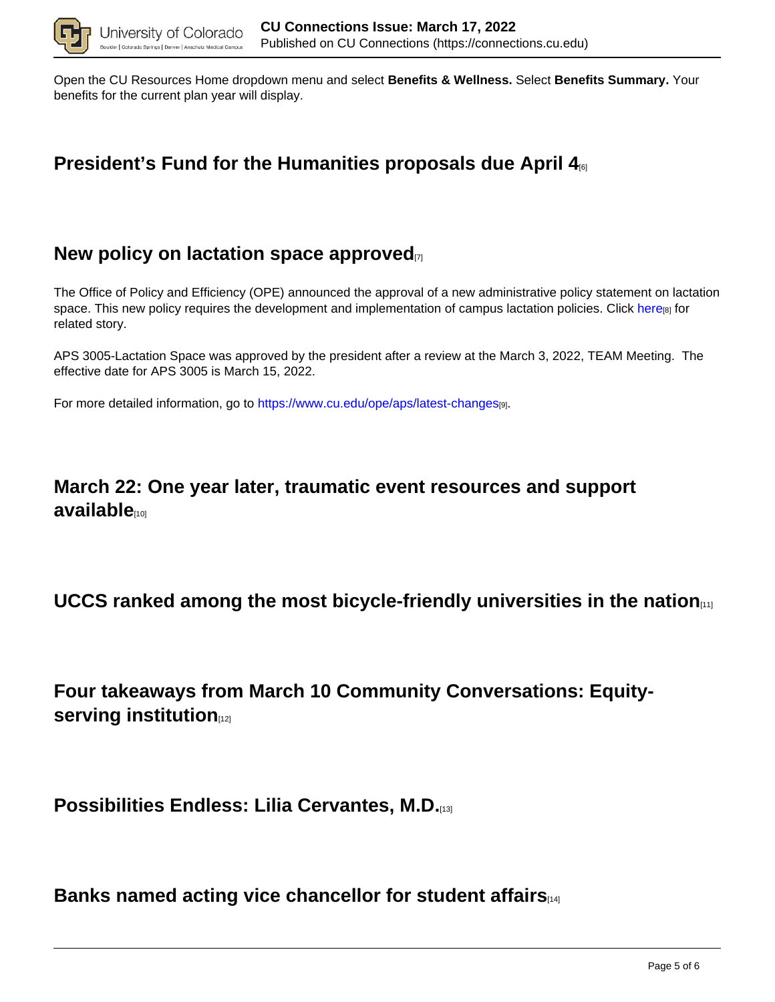

Open the CU Resources Home dropdown menu and select **Benefits & Wellness.** Select **Benefits Summary.** Your benefits for the current plan year will display.

## **President's Fund for the Humanities proposals due April 4**[6]

### **New policy on lactation space approved**

The Office of Policy and Efficiency (OPE) announced the approval of a new administrative policy statement on lactation space. This new policy requires the development and implementation of campus lactation policies. Click here<sub>[8]</sub> for related story.

APS 3005-Lactation Space was approved by the president after a review at the March 3, 2022, TEAM Meeting. The effective date for APS 3005 is March 15, 2022.

For more detailed information, go to https://www.cu.edu/ope/aps/latest-changes[9].

### **March 22: One year later, traumatic event resources and support available**[10]

### **UCCS ranked among the most bicycle-friendly universities in the nation**[11]

**Four takeaways from March 10 Community Conversations: Equityserving institution**[12]

**Possibilities Endless: Lilia Cervantes, M.D.**[13]

**Banks named acting vice chancellor for student affairs**[14]